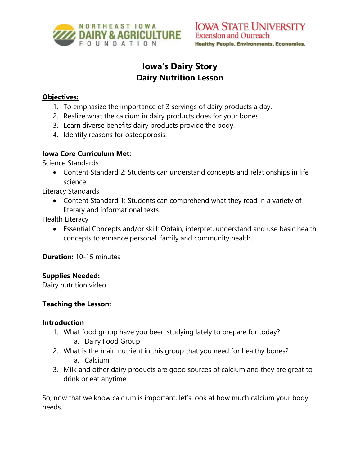

# **Iowa's Dairy Story Dairy Nutrition Lesson**

#### **Objectives:**

- 1. To emphasize the importance of 3 servings of dairy products a day.
- 2. Realize what the calcium in dairy products does for your bones.
- 3. Learn diverse benefits dairy products provide the body.
- 4. Identify reasons for osteoporosis.

# **Iowa Core Curriculum Met:**

Science Standards

• Content Standard 2: Students can understand concepts and relationships in life science.

Literacy Standards

• Content Standard 1: Students can comprehend what they read in a variety of literary and informational texts.

Health Literacy

• Essential Concepts and/or skill: Obtain, interpret, understand and use basic health concepts to enhance personal, family and community health.

**Duration:** 10-15 minutes

### **Supplies Needed:**

Dairy nutrition video

### **Teaching the Lesson:**

#### **Introduction**

- 1. What food group have you been studying lately to prepare for today?
	- a. Dairy Food Group
- 2. What is the main nutrient in this group that you need for healthy bones? a. Calcium
- 3. Milk and other dairy products are good sources of calcium and they are great to drink or eat anytime.

So, now that we know calcium is important, let's look at how much calcium your body needs.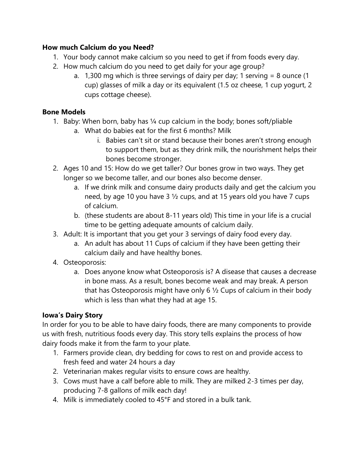#### **How much Calcium do you Need?**

- 1. Your body cannot make calcium so you need to get if from foods every day.
- 2. How much calcium do you need to get daily for your age group?
	- a. 1,300 mg which is three servings of dairy per day; 1 serving = 8 ounce (1 cup) glasses of milk a day or its equivalent (1.5 oz cheese, 1 cup yogurt, 2 cups cottage cheese).

## **Bone Models**

- 1. Baby: When born, baby has ¼ cup calcium in the body; bones soft/pliable
	- a. What do babies eat for the first 6 months? Milk
		- i. Babies can't sit or stand because their bones aren't strong enough to support them, but as they drink milk, the nourishment helps their bones become stronger.
- 2. Ages 10 and 15: How do we get taller? Our bones grow in two ways. They get longer so we become taller, and our bones also become denser.
	- a. If we drink milk and consume dairy products daily and get the calcium you need, by age 10 you have 3 ½ cups, and at 15 years old you have 7 cups of calcium.
	- b. (these students are about 8-11 years old) This time in your life is a crucial time to be getting adequate amounts of calcium daily.
- 3. Adult: It is important that you get your 3 servings of dairy food every day.
	- a. An adult has about 11 Cups of calcium if they have been getting their calcium daily and have healthy bones.
- 4. Osteoporosis:
	- a. Does anyone know what Osteoporosis is? A disease that causes a decrease in bone mass. As a result, bones become weak and may break. A person that has Osteoporosis might have only 6  $\frac{1}{2}$  Cups of calcium in their body which is less than what they had at age 15.

# **Iowa's Dairy Story**

In order for you to be able to have dairy foods, there are many components to provide us with fresh, nutritious foods every day. This story tells explains the process of how dairy foods make it from the farm to your plate.

- 1. Farmers provide clean, dry bedding for cows to rest on and provide access to fresh feed and water 24 hours a day
- 2. Veterinarian makes regular visits to ensure cows are healthy.
- 3. Cows must have a calf before able to milk. They are milked 2-3 times per day, producing 7-8 gallons of milk each day!
- 4. Milk is immediately cooled to 45°F and stored in a bulk tank.